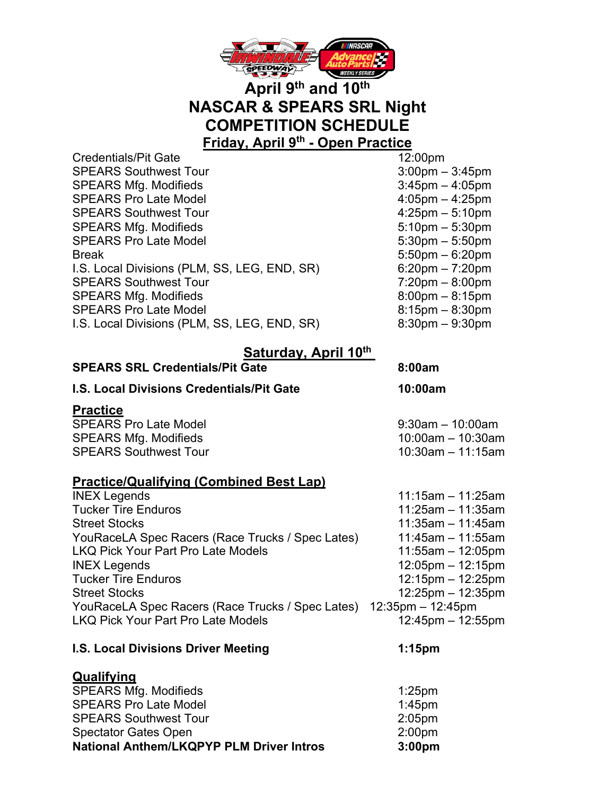

## **April 9th and 10th NASCAR & SPEARS SRL Night COMPETITION SCHEDULE Friday, April 9th - Open Practice**

Credentials/Pit Gate 12:00pm SPEARS Southwest Tour 3:00pm – 3:45pm SPEARS Mfg. Modifieds 3:45pm – 4:05pm SPEARS Pro Late Model 4:05pm – 4:25pm SPEARS Southwest Tour 1.25pm – 5:10pm SPEARS Mfg. Modifieds 5:10pm – 5:30pm SPEARS Pro Late Model 5:30pm – 5:50pm Break 5:50pm – 6:20pm I.S. Local Divisions (PLM, SS, LEG, END, SR) 6:20pm – 7:20pm SPEARS Southwest Tour 7:20pm – 8:00pm SPEARS Mfg. Modifieds 8:00pm – 8:15pm SPEARS Pro Late Model 8:15pm – 8:30pm I.S. Local Divisions (PLM, SS, LEG, END, SR) 8:30pm – 9:30pm

## **Saturday, April 10th**

| <b>SPEARS SRL Credentials/Pit Gate</b>                             | 8:00am                |
|--------------------------------------------------------------------|-----------------------|
| <b>I.S. Local Divisions Credentials/Pit Gate</b>                   | 10:00am               |
| <b>Practice</b>                                                    |                       |
| <b>SPEARS Pro Late Model</b>                                       | $9:30$ am $-10:00$ am |
| <b>SPEARS Mfg. Modifieds</b>                                       | 10:00am - 10:30am     |
| <b>SPEARS Southwest Tour</b>                                       | $10:30$ am - 11:15am  |
| <b>Practice/Qualifying (Combined Best Lap)</b>                     |                       |
| <b>INEX Legends</b>                                                | $11:15am - 11:25am$   |
| <b>Tucker Tire Enduros</b>                                         | 11:25am - 11:35am     |
| <b>Street Stocks</b>                                               | 11:35am - 11:45am     |
| $V_{\text{c}}$ . Decay December 2008 Tought 10 and the $\setminus$ |                       |

YouRaceLA Spec Racers (Race Trucks / Spec Lates) 11:45am – 11:55am LKQ Pick Your Part Pro Late Models 11:55am – 12:05pm INEX Legends 12:05pm – 12:15pm Tucker Tire Enduros 12:15pm – 12:25pm Street Stocks 12:25pm – 12:35pm YouRaceLA Spec Racers (Race Trucks / Spec Lates) 12:35pm – 12:45pm LKQ Pick Your Part Pro Late Models 12:45pm – 12:55pm

### **I.S. Local Divisions Driver Meeting 1:15pm**

**Qualifying** SPEARS Mfg. Modifieds 1:25pm SPEARS Pro Late Model 1:45pm SPEARS Southwest Tour 2:05pm Spectator Gates Open 2:00pm **National Anthem/LKQPYP PLM Driver Intros 3:00pm**